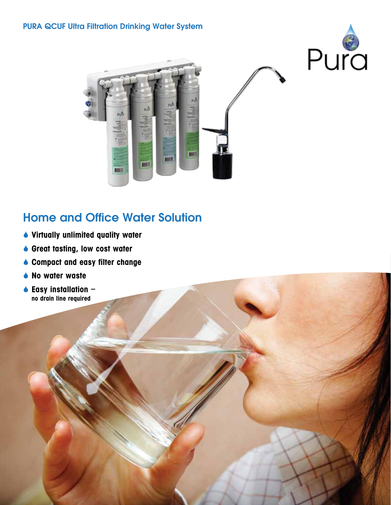



# Home and Office Water Solution

- Virtually unlimited quality water
- ◆ Great tasting, low cost water
- ♦ Compact and easy filter change
- ◆ No water waste
- $\bullet$  Easy installation  $$ no drain line required